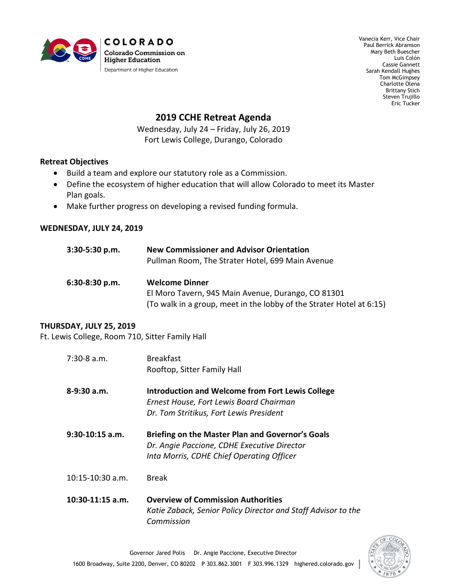

Vanecia Kerr, Vice Chair Paul Berrick Abramson Mary Beth Buescher Luis Colón Cassie Gannett Sarah Kendall Hughes Tom McGimpsey Charlotte Olena Brittany Stich Steven Trujillo Eric Tucker

## **2019 CCHE Retreat Agenda**

Wednesday, July 24 – Friday, July 26, 2019 Fort Lewis College, Durango, Colorado

## **Retreat Objectives**

- Build a team and explore our statutory role as a Commission.
- Define the ecosystem of higher education that will allow Colorado to meet its Master Plan goals.
- Make further progress on developing a revised funding formula.

## **WEDNESDAY, JULY 24, 2019**

| $3:30-5:30 p.m.$ | <b>New Commissioner and Advisor Orientation</b><br>Pullman Room, The Strater Hotel, 699 Main Avenue                        |  |
|------------------|----------------------------------------------------------------------------------------------------------------------------|--|
| $6:30-8:30$ p.m. | <b>Welcome Dinner</b>                                                                                                      |  |
|                  | El Moro Tavern, 945 Main Avenue, Durango, CO 81301<br>(To walk in a group, meet in the lobby of the Strater Hotel at 6:15) |  |

## **THURSDAY, JULY 25, 2019**

Ft. Lewis College, Room 710, Sitter Family Hall

| $7:30-8$ a.m.      | <b>Breakfast</b><br>Rooftop, Sitter Family Hall                                                                                               |
|--------------------|-----------------------------------------------------------------------------------------------------------------------------------------------|
| $8-9:30$ a.m.      | <b>Introduction and Welcome from Fort Lewis College</b><br>Ernest House, Fort Lewis Board Chairman<br>Dr. Tom Stritikus, Fort Lewis President |
| $9:30-10:15$ a.m.  | Briefing on the Master Plan and Governor's Goals<br>Dr. Angie Paccione, CDHE Executive Director<br>Inta Morris, CDHE Chief Operating Officer  |
| $10:15-10:30$ a.m. | <b>Break</b>                                                                                                                                  |
| $10:30-11:15$ a.m. | <b>Overview of Commission Authorities</b>                                                                                                     |

*Katie Zaback, Senior Policy Director and Staff Advisor to the Commission*